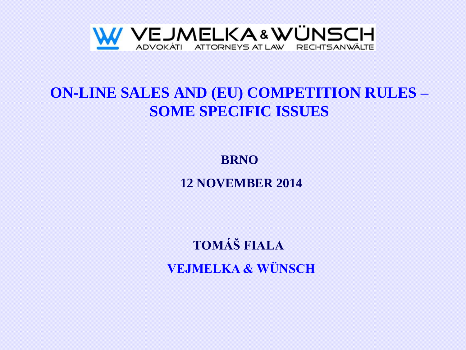

# **ON-LINE SALES AND (EU) COMPETITION RULES – SOME SPECIFIC ISSUES**

**BRNO 12 NOVEMBER 2014**

**TOMÁŠ FIALA VEJMELKA & WÜNSCH**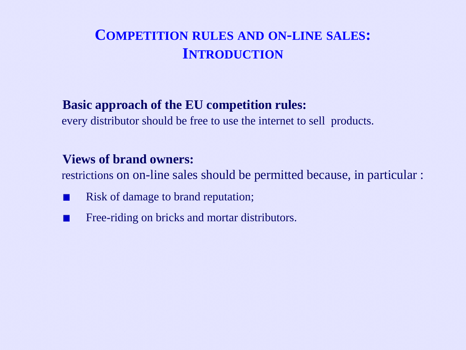### **COMPETITION RULES AND ON-LINE SALES: INTRODUCTION**

#### **Basic approach of the EU competition rules:**

every distributor should be free to use the internet to sell products.

#### **Views of brand owners:**

restrictions on on-line sales should be permitted because, in particular :

- Risk of damage to brand reputation; 11
- Free-riding on bricks and mortar distributors.n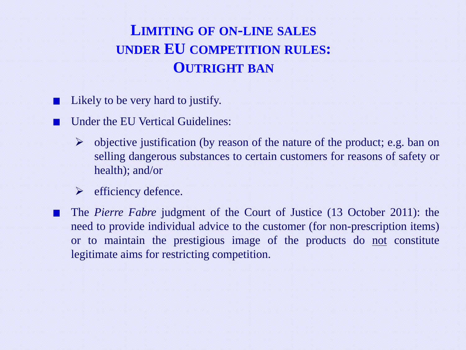# **LIMITING OF ON-LINE SALES UNDER EU COMPETITION RULES: OUTRIGHT BAN**

- Likely to be very hard to justify.
- Under the EU Vertical Guidelines:
	- $\triangleright$  objective justification (by reason of the nature of the product; e.g. ban on selling dangerous substances to certain customers for reasons of safety or health); and/or
	- $\triangleright$  efficiency defence.
- The *Pierre Fabre* judgment of the Court of Justice (13 October 2011): the need to provide individual advice to the customer (for non-prescription items) or to maintain the prestigious image of the products do not constitute legitimate aims for restricting competition.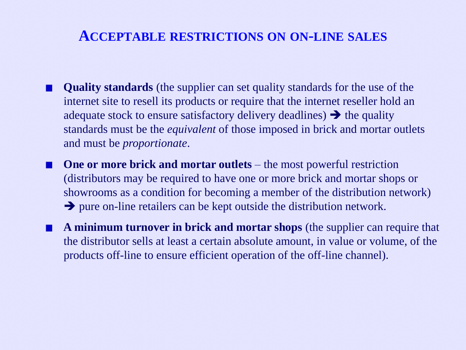#### **ACCEPTABLE RESTRICTIONS ON ON-LINE SALES**

- **Quality standards** (the supplier can set quality standards for the use of the internet site to resell its products or require that the internet reseller hold an adequate stock to ensure satisfactory delivery deadlines)  $\rightarrow$  the quality standards must be the *equivalent* of those imposed in brick and mortar outlets and must be *proportionate*.
- **One or more brick and mortar outlets** the most powerful restriction (distributors may be required to have one or more brick and mortar shops or showrooms as a condition for becoming a member of the distribution network)  $\rightarrow$  pure on-line retailers can be kept outside the distribution network.
- **A minimum turnover in brick and mortar shops** (the supplier can require that the distributor sells at least a certain absolute amount, in value or volume, of the products off-line to ensure efficient operation of the off-line channel).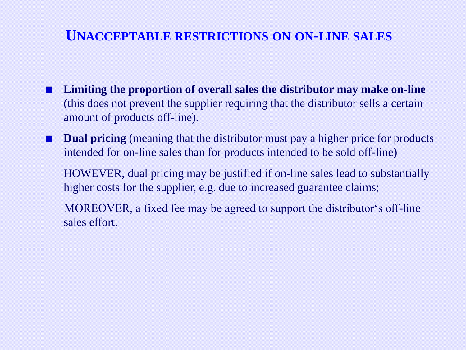### **UNACCEPTABLE RESTRICTIONS ON ON-LINE SALES**

- **Limiting the proportion of overall sales the distributor may make on-line**  (this does not prevent the supplier requiring that the distributor sells a certain amount of products off-line).
- **Dual pricing** (meaning that the distributor must pay a higher price for products intended for on-line sales than for products intended to be sold off-line)

HOWEVER, dual pricing may be justified if on-line sales lead to substantially higher costs for the supplier, e.g. due to increased guarantee claims;

 MOREOVER, a fixed fee may be agreed to support the distributor's off-line sales effort.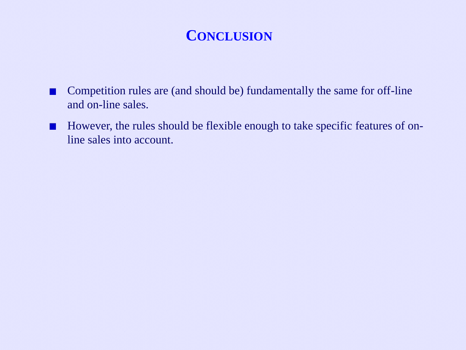### **CONCLUSION**

- Competition rules are (and should be) fundamentally the same for off-line  $\Box$ and on-line sales.
- However, the rules should be flexible enough to take specific features of on- $\blacksquare$ line sales into account.